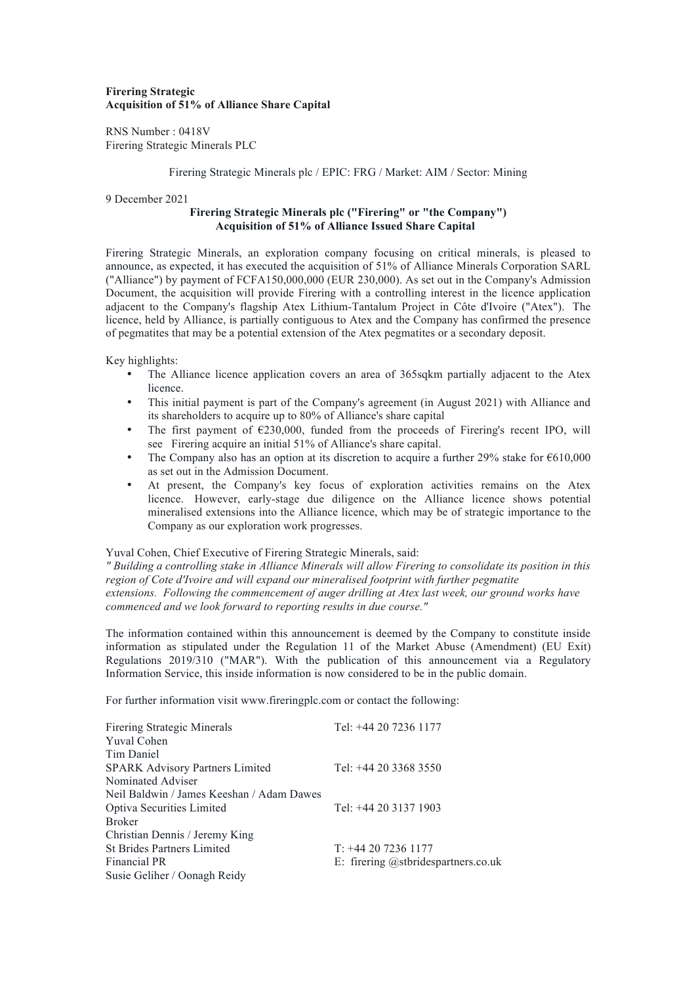# **Firering Strategic Acquisition of 51% of Alliance Share Capital**

RNS Number : 0418V Firering Strategic Minerals PLC

### Firering Strategic Minerals plc / EPIC: FRG / Market: AIM / Sector: Mining

### 9 December 2021

# **Firering Strategic Minerals plc ("Firering" or "the Company") Acquisition of 51% of Alliance Issued Share Capital**

Firering Strategic Minerals, an exploration company focusing on critical minerals, is pleased to announce, as expected, it has executed the acquisition of 51% of Alliance Minerals Corporation SARL ("Alliance") by payment of FCFA150,000,000 (EUR 230,000). As set out in the Company's Admission Document, the acquisition will provide Firering with a controlling interest in the licence application adjacent to the Company's flagship Atex Lithium-Tantalum Project in Côte d'Ivoire ("Atex"). The licence, held by Alliance, is partially contiguous to Atex and the Company has confirmed the presence of pegmatites that may be a potential extension of the Atex pegmatites or a secondary deposit.

Key highlights:

- The Alliance licence application covers an area of 365sqkm partially adjacent to the Atex licence.
- This initial payment is part of the Company's agreement (in August 2021) with Alliance and its shareholders to acquire up to 80% of Alliance's share capital
- The first payment of  $\epsilon$ 230,000, funded from the proceeds of Firering's recent IPO, will see Firering acquire an initial 51% of Alliance's share capital.
- The Company also has an option at its discretion to acquire a further 29% stake for  $\epsilon$ 610,000 as set out in the Admission Document.
- At present, the Company's key focus of exploration activities remains on the Atex licence. However, early-stage due diligence on the Alliance licence shows potential mineralised extensions into the Alliance licence, which may be of strategic importance to the Company as our exploration work progresses.

### Yuval Cohen, Chief Executive of Firering Strategic Minerals, said:

*" Building a controlling stake in Alliance Minerals will allow Firering to consolidate its position in this region of Cote d'Ivoire and will expand our mineralised footprint with further pegmatite extensions. Following the commencement of auger drilling at Atex last week, our ground works have commenced and we look forward to reporting results in due course."* 

The information contained within this announcement is deemed by the Company to constitute inside information as stipulated under the Regulation 11 of the Market Abuse (Amendment) (EU Exit) Regulations 2019/310 ("MAR"). With the publication of this announcement via a Regulatory Information Service, this inside information is now considered to be in the public domain.

For further information visit www.fireringplc.com or contact the following:

| <b>Firering Strategic Minerals</b>        | Tel: +44 20 7236 1177                  |
|-------------------------------------------|----------------------------------------|
| <b>Yuval Cohen</b>                        |                                        |
| Tim Daniel                                |                                        |
| <b>SPARK Advisory Partners Limited</b>    | Tel: $+442033683550$                   |
| Nominated Adviser                         |                                        |
| Neil Baldwin / James Keeshan / Adam Dawes |                                        |
| Optiva Securities Limited                 | Tel: +44 20 3137 1903                  |
| <b>Broker</b>                             |                                        |
| Christian Dennis / Jeremy King            |                                        |
| <b>St Brides Partners Limited</b>         | $T: +442072361177$                     |
| Financial PR                              | E: firering $@$ stbridespartners.co.uk |
| Susie Geliher / Oonagh Reidy              |                                        |